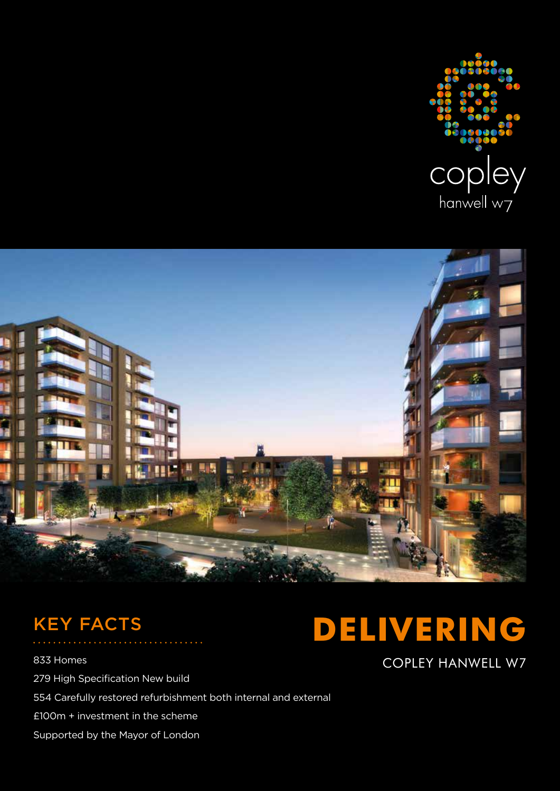



# KEY FACTS

833 Homes **COPLEY HANWELL W7** 279 High Specification New build 554 Carefully restored refurbishment both internal and external £100m + investment in the scheme Supported by the Mayor of London

# **DELIVERING**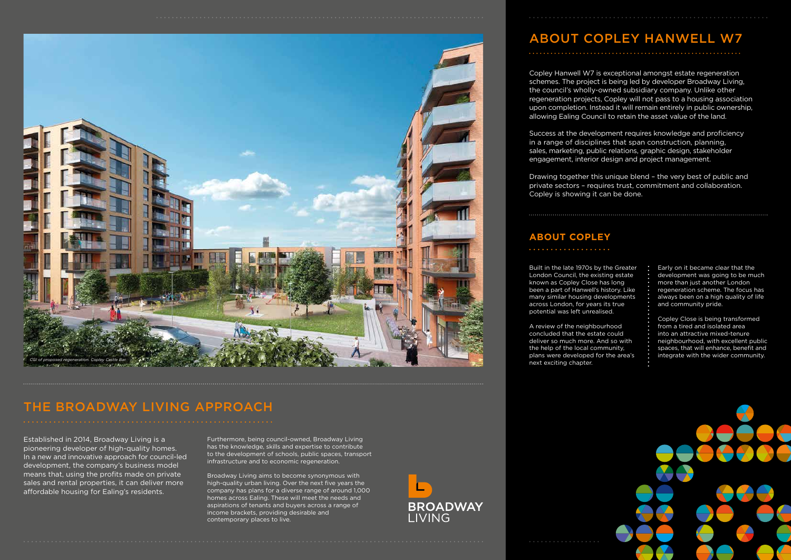Copley Hanwell W7 is exceptional amongst estate regeneration schemes. The project is being led by developer Broadway Living, the council's wholly-owned subsidiary company. Unlike other regeneration projects, Copley will not pass to a housing association upon completion. Instead it will remain entirely in public ownership, allowing Ealing Council to retain the asset value of the land.

Success at the development requires knowledge and proficiency in a range of disciplines that span construction, planning, sales, marketing, public relations, graphic design, stakeholder engagement, interior design and project management.

Drawing together this unique blend – the very best of public and private sectors – requires trust, commitment and collaboration. Copley is showing it can be done.

 $\mathcal{L}$ 

## THE BROADWAY LIVING APPROACH

Built in the late 1970s by the Greater London Council, the existing estate known as Copley Close has long been a part of Hanwell's history. Like many similar housing developments across London, for years its true potential was left unrealised.

A review of the neighbourhood concluded that the estate could deliver so much more. And so with the help of the local community, plans were developed for the area's next exciting chapter.

. . . . . . . . . . . . . . . . . .



Early on it became clear that the development was going to be much more than just another London regeneration scheme. The focus has always been on a high quality of life and community pride.

Copley Close is being transformed from a tired and isolated area into an attractive mixed-tenure neighbourhood, with excellent public spaces, that will enhance, benefit and integrate with the wider community.



## ABOUT COPLEY HANWELL W7



## **ABOUT COPLEY**

Established in 2014, Broadway Living is a pioneering developer of high-quality homes. In a new and innovative approach for council-led development, the company's business model means that, using the profits made on private sales and rental properties, it can deliver more affordable housing for Ealing's residents.

Furthermore, being council-owned, Broadway Living has the knowledge, skills and expertise to contribute to the development of schools, public spaces, transport infrastructure and to economic regeneration.

Broadway Living aims to become synonymous with high-quality urban living. Over the next five years the company has plans for a diverse range of around 1,000 homes across Ealing. These will meet the needs and aspirations of tenants and buyers across a range of income brackets, providing desirable and contemporary places to live.

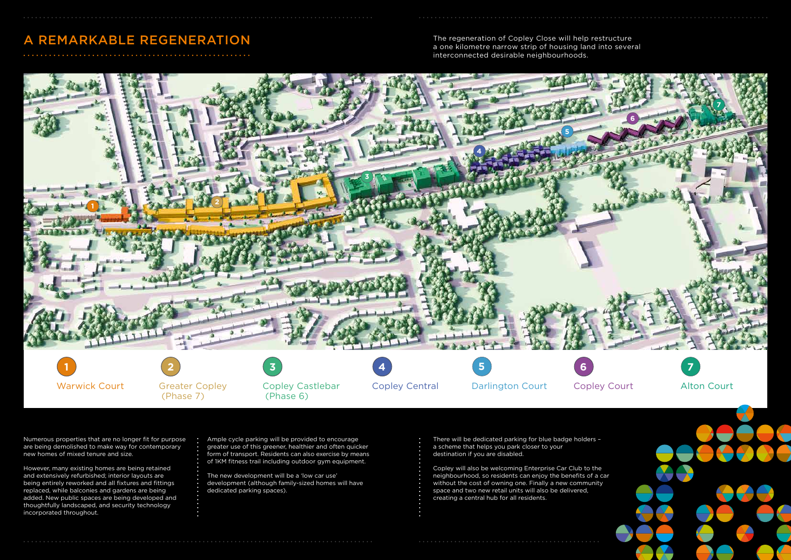The regeneration of Copley Close will help restructure a one kilometre narrow strip of housing land into several interconnected desirable neighbourhoods.

Numerous properties that are no longer fit for purpose are being demolished to make way for contemporary new homes of mixed tenure and size.

However, many existing homes are being retained and extensively refurbished; interior layouts are being entirely reworked and all fixtures and fittings replaced, while balconies and gardens are being added. New public spaces are being developed and thoughtfully landscaped, and security technology incorporated throughout.

Ample cycle parking will be provided to encourage greater use of this greener, healthier and often quicker form of transport. Residents can also exercise by means of 1KM fitness trail including outdoor gym equipment.

 $\ddot{\cdot}$ 

The new development will be a 'low car use' development (although family-sized homes will have dedicated parking spaces).

There will be dedicated parking for blue badge holders – a scheme that helps you park closer to your destination if you are disabled.



Copley will also be welcoming Enterprise Car Club to the neighbourhood, so residents can enjoy the benefits of a car without the cost of owning one. Finally a new community space and two new retail units will also be delivered, creating a central hub for all residents.

## A REMARKABLE REGENERATION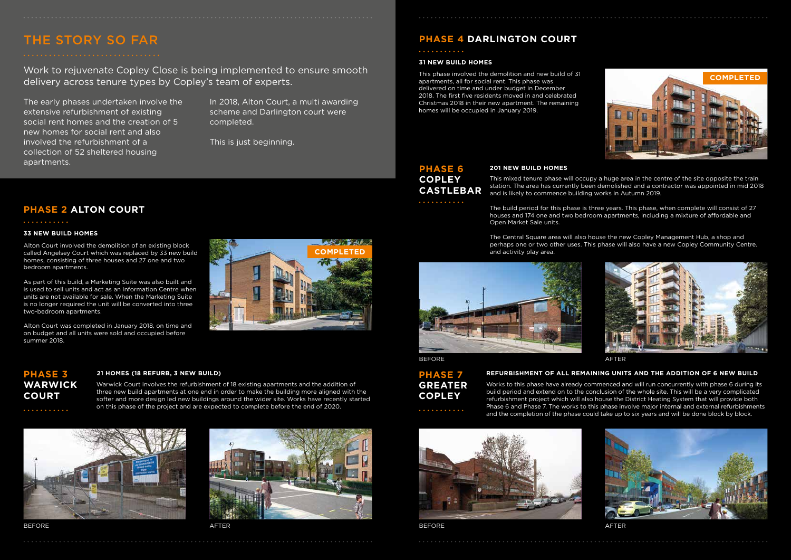## THE STORY SO FAR

Work to rejuvenate Copley Close is being implemented to ensure smooth delivery across tenure types by Copley's team of experts.

### **PHASE 2 ALTON COURT**

#### **33 NEW BUILD HOMES**

#### **31 NEW BUILD HOMES**

Alton Court involved the demolition of an existing block called Angelsey Court which was replaced by 33 new build homes, consisting of three houses and 27 one and two bedroom apartments.

As part of this build, a Marketing Suite was also built and is used to sell units and act as an Information Centre when units are not available for sale. When the Marketing Suite is no longer required the unit will be converted into three two-bedroom apartments.

Alton Court was completed in January 2018, on time and on budget and all units were sold and occupied before summer 2018.

### **PHASE 3** 21 HOMES (18 REFURB, 3 NEW BUILD)



### . . . . . . . . . . .

This phase involved the demolition and new build of 31 apartments, all for social rent. This phase was delivered on time and under budget in December 2018. The first five residents moved in and celebrated Christmas 2018 in their new apartment. The remaining homes will be occupied in January 2019.

## **PHASE 6 201 NEW BUILD HOMES COPLEY CASTLEBAR**

. . . . . . . . . . .

Works to this phase have already commenced and will run concurrently with phase 6 during its build period and extend on to the conclusion of the whole site. This will be a very complicated refurbishment project which will also house the District Heating System that will provide both Phase 6 and Phase 7. The works to this phase involve major internal and external refurbishments and the completion of the phase could take up to six years and will be done block by block.



BEFORE AFTER AND A SERIES AND A SERIES AND A SERIES AND A SERIES AND A SERIES AND A SERIES AND A SERIES AND A

This mixed tenure phase will occupy a huge area in the centre of the site opposite the train station. The area has currently been demolished and a contractor was appointed in mid 2018 and is likely to commence building works in Autumn 2019.

The build period for this phase is three years. This phase, when complete will consist of 27 houses and 174 one and two bedroom apartments, including a mixture of affordable and

Open Market Sale units.

The Central Square area will also house the new Copley Management Hub, a shop and perhaps one or two other uses. This phase will also have a new Copley Community Centre.





and activity play area.



#### BEFORE AFTER

**WARWICK** 

**COURT**

. . . . . . . . . . . .

Warwick Court involves the refurbishment of 18 existing apartments and the addition of three new build apartments at one end in order to make the building more aligned with the softer and more design led new buildings around the wider site. Works have recently started on this phase of the project and are expected to complete before the end of 2020.







**COMPLETED**

**SEARCH STARS AND STARS AND STARS AND STARS AND STARS AND STARS AND STARS AND STARS AND STARS AND STARS AND ST** 



#### **REFURBISHMENT OF ALL REMAINING UNITS AND THE ADDITION OF 6 NEW BUILD**

## **PHASE 7 GREATER COPLEY**

. . . . . . . . . . .

The early phases undertaken involve the extensive refurbishment of existing social rent homes and the creation of 5 new homes for social rent and also involved the refurbishment of a collection of 52 sheltered housing apartments.

In 2018, Alton Court, a multi awarding scheme and Darlington court were completed.

This is just beginning.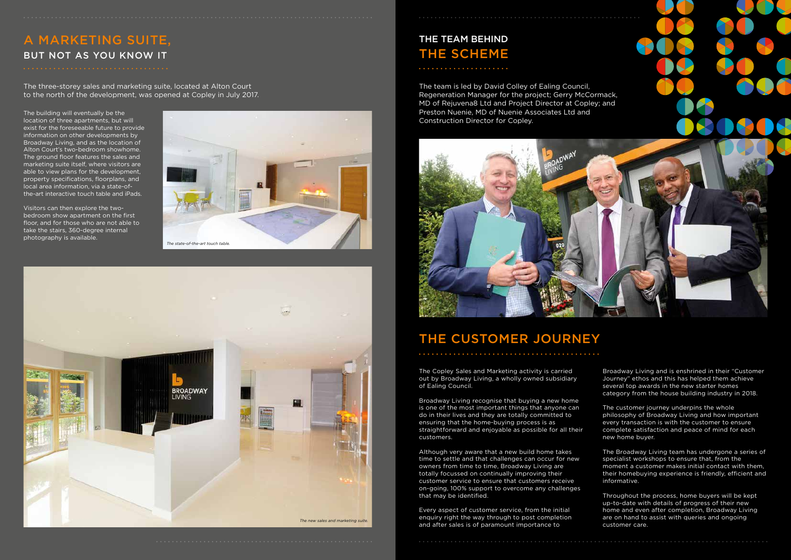## A MARKETING SUITE, BUT NOT AS YOU KNOW IT



The Copley Sales and Marketing activity is carried out by Broadway Living, a wholly owned subsidiary of Ealing Council.

Broadway Living recognise that buying a new home is one of the most important things that anyone can do in their lives and they are totally committed to ensuring that the home-buying process is as straightforward and enjoyable as possible for all their customers.

Although very aware that a new build home takes time to settle and that challenges can occur for new owners from time to time, Broadway Living are totally focussed on continually improving their customer service to ensure that customers receive on-going, 100% support to overcome any challenges that may be identified.

Every aspect of customer service, from the initial enquiry right the way through to post completion and after sales is of paramount importance to

Broadway Living and is enshrined in their "Customer Journey" ethos and this has helped them achieve several top awards in the new starter homes category from the house building industry in 2018.

The customer journey underpins the whole philosophy of Broadway Living and how important every transaction is with the customer to ensure complete satisfaction and peace of mind for each new home buyer.

Visitors can then explore the twobedroom show apartment on the first floor, and for those who are not able to take the stairs, 360-degree internal photography is available.

> The Broadway Living team has undergone a series of specialist workshops to ensure that, from the moment a customer makes initial contact with them, their homebuying experience is friendly, efficient and informative.

Throughout the process, home buyers will be kept up-to-date with details of progress of their new home and even after completion, Broadway Living are on hand to assist with queries and ongoing customer care.

The three-storey sales and marketing suite, located at Alton Court to the north of the development, was opened at Copley in July 2017.

The building will eventually be the location of three apartments, but will exist for the foreseeable future to provide information on other developments by Broadway Living, and as the location of Alton Court's two-bedroom showhome. The ground floor features the sales and marketing suite itself, where visitors are able to view plans for the development, property specifications, floorplans, and local area information, via a state-ofthe-art interactive touch table and iPads.

# THE CUSTOMER JOURNEY



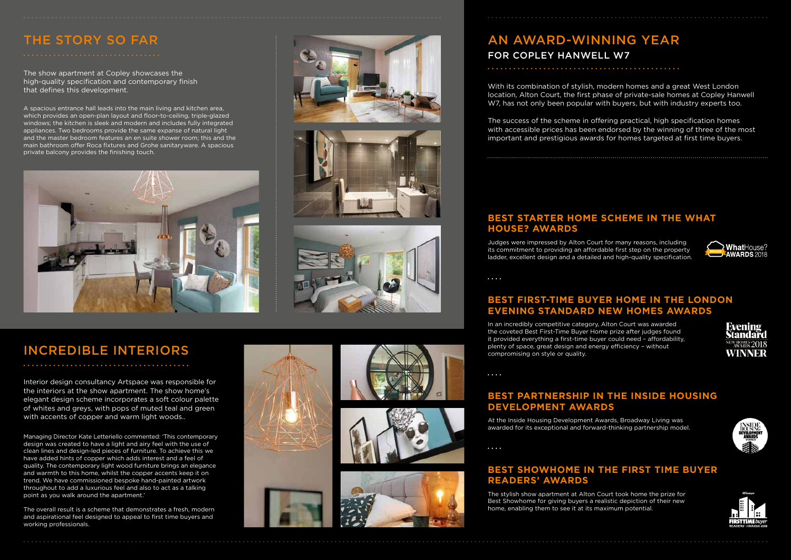# INCREDIBLE INTERIORS

Interior design consultancy Artspace was responsible for the interiors at the show apartment. The show home's elegant design scheme incorporates a soft colour palette of whites and greys, with pops of muted teal and green with accents of copper and warm light woods..

Managing Director Kate Letteriello commented: 'This contemporary design was created to have a light and airy feel with the use of clean lines and design-led pieces of furniture. To achieve this we have added hints of copper which adds interest and a feel of quality. The contemporary light wood furniture brings an elegance and warmth to this home, whilst the copper accents keep it on trend. We have commissioned bespoke hand-painted artwork throughout to add a luxurious feel and also to act as a talking point as you walk around the apartment.'

The overall result is a scheme that demonstrates a fresh, modern and aspirational feel designed to appeal to first time buyers and working professionals.







# THE STORY SO FAR

The show apartment at Copley showcases the high-quality specification and contemporary finish that defines this development.

A spacious entrance hall leads into the main living and kitchen area, which provides an open-plan layout and floor-to-ceiling, triple-glazed windows; the kitchen is sleek and modern and includes fully integrated appliances. Two bedrooms provide the same expanse of natural light and the master bedroom features an en suite shower room; this and the main bathroom offer Roca fixtures and Grohe sanitaryware. A spacious private balcony provides the finishing touch.









## AN AWARD-WINNING YEAR FOR COPLEY HANWELL W7

With its combination of stylish, modern homes and a great West London location, Alton Court, the first phase of private-sale homes at Copley Hanwell W7, has not only been popular with buyers, but with industry experts too.

The success of the scheme in offering practical, high specification homes with accessible prices has been endorsed by the winning of three of the most important and prestigious awards for homes targeted at first time buyers.

### **BEST STARTER HOME SCHEME IN THE WHAT HOUSE? AWARDS**

## **BEST PARTNERSHIP IN THE INSIDE HOUSING DEVELOPMENT AWARDS**

## **BEST FIRST-TIME BUYER HOME IN THE LONDON EVENING STANDARD NEW HOMES AWARDS**

### **BEST SHOWHOME IN THE FIRST TIME BUYER READERS' AWARDS**

Judges were impressed by Alton Court for many reasons, including its commitment to providing an affordable first step on the property ladder, excellent design and a detailed and high-quality specification.

 $\ddotsc$ 

At the Inside Housing Development Awards, Broadway Living was awarded for its exceptional and forward-thinking partnership model.

. . . .

In an incredibly competitive category, Alton Court was awarded the coveted Best First-Time Buyer Home prize after judges found it provided everything a first-time buyer could need – affordability, plenty of space, great design and energy efficiency – without compromising on style or quality.

 $\ddotsc$ 

The stylish show apartment at Alton Court took home the prize for Best Showhome for giving buyers a realistic depiction of their new home, enabling them to see it at its maximum potential.